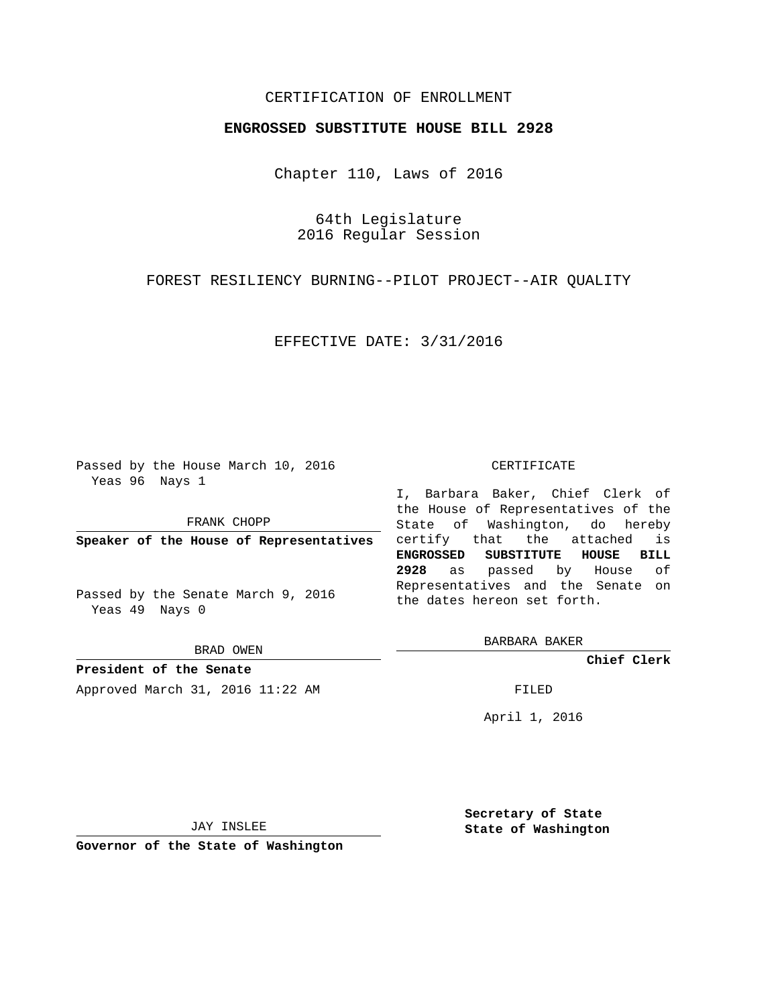## CERTIFICATION OF ENROLLMENT

## **ENGROSSED SUBSTITUTE HOUSE BILL 2928**

Chapter 110, Laws of 2016

64th Legislature 2016 Regular Session

FOREST RESILIENCY BURNING--PILOT PROJECT--AIR QUALITY

EFFECTIVE DATE: 3/31/2016

Passed by the House March 10, 2016 Yeas 96 Nays 1

FRANK CHOPP

**Speaker of the House of Representatives**

Passed by the Senate March 9, 2016 Yeas 49 Nays 0

BRAD OWEN

**President of the Senate** Approved March 31, 2016 11:22 AM FILED

#### CERTIFICATE

I, Barbara Baker, Chief Clerk of the House of Representatives of the State of Washington, do hereby certify that the attached is **ENGROSSED SUBSTITUTE HOUSE BILL 2928** as passed by House of Representatives and the Senate on the dates hereon set forth.

BARBARA BAKER

**Chief Clerk**

April 1, 2016

JAY INSLEE

**Governor of the State of Washington**

**Secretary of State State of Washington**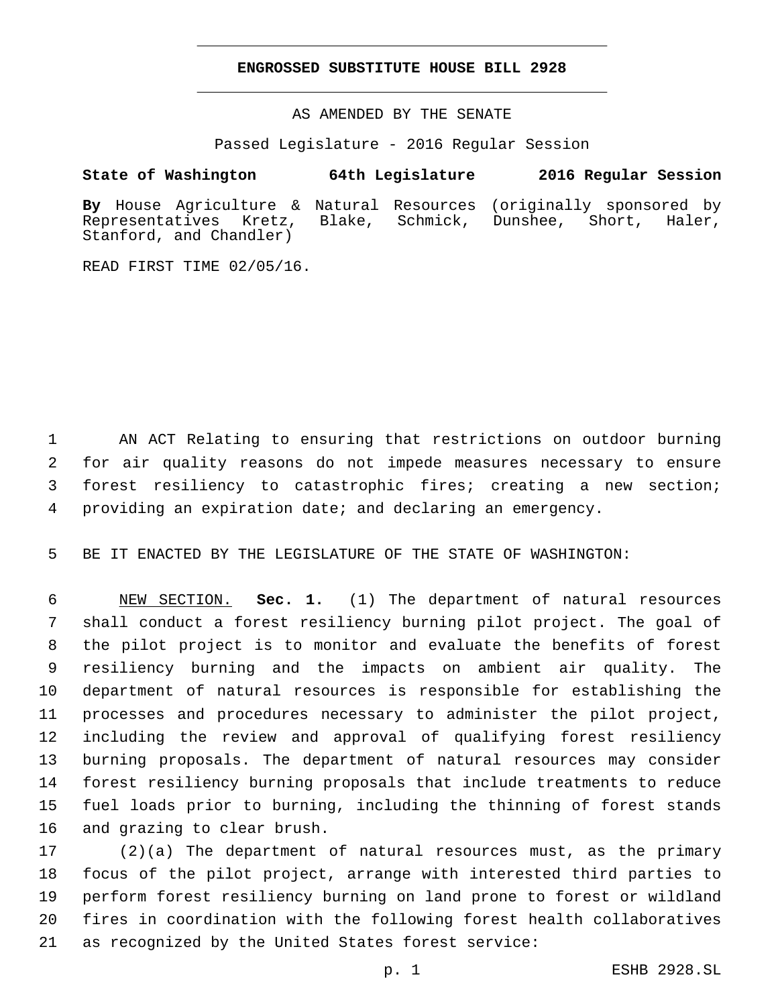### **ENGROSSED SUBSTITUTE HOUSE BILL 2928**

AS AMENDED BY THE SENATE

Passed Legislature - 2016 Regular Session

# **State of Washington 64th Legislature 2016 Regular Session**

**By** House Agriculture & Natural Resources (originally sponsored by Representatives Kretz, Blake, Schmick, Dunshee, Short, Haler, Stanford, and Chandler)

READ FIRST TIME 02/05/16.

 AN ACT Relating to ensuring that restrictions on outdoor burning for air quality reasons do not impede measures necessary to ensure forest resiliency to catastrophic fires; creating a new section; providing an expiration date; and declaring an emergency.

BE IT ENACTED BY THE LEGISLATURE OF THE STATE OF WASHINGTON:

 NEW SECTION. **Sec. 1.** (1) The department of natural resources shall conduct a forest resiliency burning pilot project. The goal of the pilot project is to monitor and evaluate the benefits of forest resiliency burning and the impacts on ambient air quality. The department of natural resources is responsible for establishing the processes and procedures necessary to administer the pilot project, including the review and approval of qualifying forest resiliency burning proposals. The department of natural resources may consider forest resiliency burning proposals that include treatments to reduce fuel loads prior to burning, including the thinning of forest stands 16 and grazing to clear brush.

 (2)(a) The department of natural resources must, as the primary focus of the pilot project, arrange with interested third parties to perform forest resiliency burning on land prone to forest or wildland fires in coordination with the following forest health collaboratives as recognized by the United States forest service: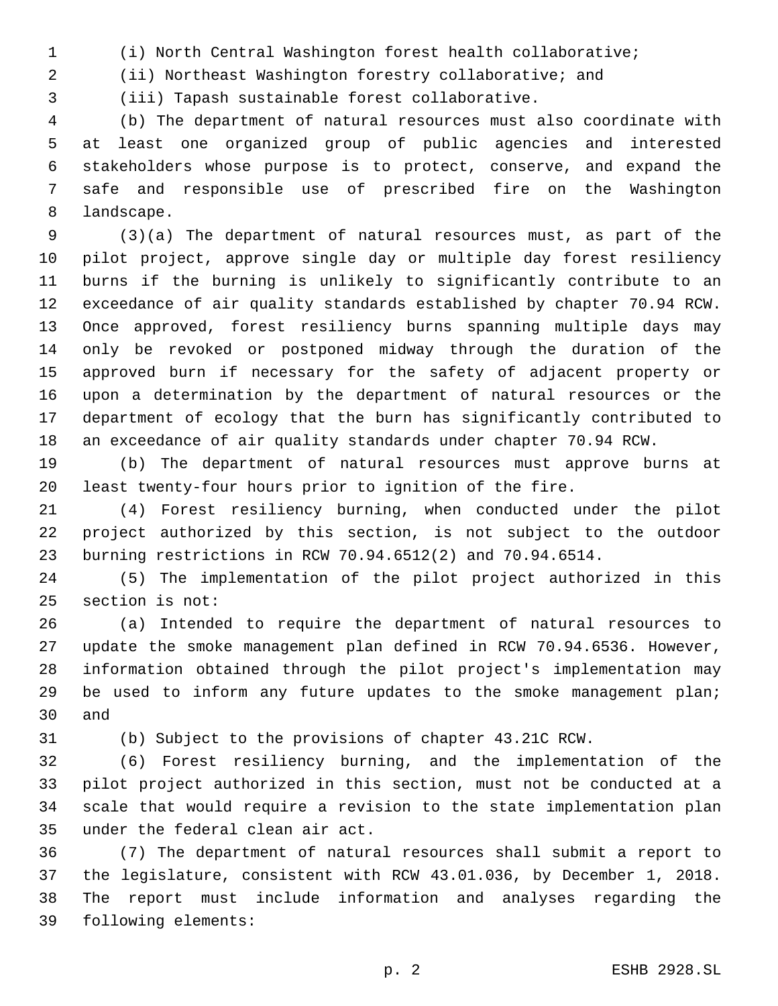(i) North Central Washington forest health collaborative;

(ii) Northeast Washington forestry collaborative; and

(iii) Tapash sustainable forest collaborative.3

 (b) The department of natural resources must also coordinate with at least one organized group of public agencies and interested stakeholders whose purpose is to protect, conserve, and expand the safe and responsible use of prescribed fire on the Washington 8 landscape.

 (3)(a) The department of natural resources must, as part of the pilot project, approve single day or multiple day forest resiliency burns if the burning is unlikely to significantly contribute to an exceedance of air quality standards established by chapter 70.94 RCW. Once approved, forest resiliency burns spanning multiple days may only be revoked or postponed midway through the duration of the approved burn if necessary for the safety of adjacent property or upon a determination by the department of natural resources or the department of ecology that the burn has significantly contributed to an exceedance of air quality standards under chapter 70.94 RCW.

 (b) The department of natural resources must approve burns at least twenty-four hours prior to ignition of the fire.

 (4) Forest resiliency burning, when conducted under the pilot project authorized by this section, is not subject to the outdoor burning restrictions in RCW 70.94.6512(2) and 70.94.6514.

 (5) The implementation of the pilot project authorized in this 25 section is not:

 (a) Intended to require the department of natural resources to update the smoke management plan defined in RCW 70.94.6536. However, information obtained through the pilot project's implementation may 29 be used to inform any future updates to the smoke management plan; 30 and

(b) Subject to the provisions of chapter 43.21C RCW.

 (6) Forest resiliency burning, and the implementation of the pilot project authorized in this section, must not be conducted at a scale that would require a revision to the state implementation plan 35 under the federal clean air act.

 (7) The department of natural resources shall submit a report to the legislature, consistent with RCW 43.01.036, by December 1, 2018. The report must include information and analyses regarding the 39 following elements: